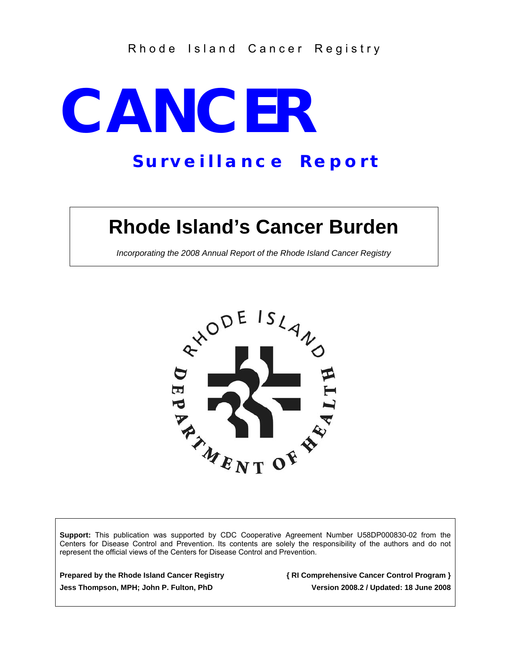## Rhode Island Cancer Registry

# **CANCER**

# *S u r v e i l l a n c e R e p o r t*

# **Rhode Island's Cancer Burden**

*Incorporating the 2008 Annual Report of the Rhode Island Cancer Registry* 



**Support:** This publication was supported by CDC Cooperative Agreement Number U58DP000830-02 from the Centers for Disease Control and Prevention. Its contents are solely the responsibility of the authors and do not represent the official views of the Centers for Disease Control and Prevention.

**Prepared by the Rhode Island Cancer Registry { RI Comprehensive Cancer Control Program }** 

**Jess Thompson, MPH; John P. Fulton, PhD Version 2008.2 / Updated: 18 June 2008**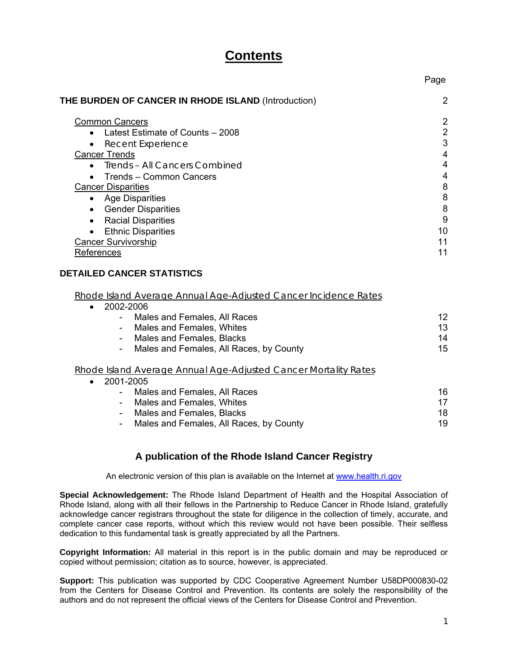# **Contents**

| THE BURDEN OF CANCER IN RHODE ISLAND (Introduction)<br><b>Common Cancers</b><br>• Latest Estimate of Counts - 2008<br>• Recent Experience<br><b>Cancer Trends</b><br>• Trends - All Cancers Combined<br>• Trends - Common Cancers<br><b>Cancer Disparities</b><br>• Age Disparities<br>• Gender Disparities<br>• Racial Disparities<br>• Ethnic Disparities<br><b>Cancer Survivorship</b><br>References<br><b>DETAILED CANCER STATISTICS</b><br>Rhode Island Average Annual Age-Adjusted Cancer Incidence Rates<br>2002-2006<br>$\bullet$<br>Males and Females, All Races<br>- Males and Females, Whites<br>- Males and Females, Blacks<br>15<br>- Males and Females, All Races, by County<br>Rhode Island Average Annual Age-Adjusted Cancer Mortality Rates<br>2001-2005<br>$\bullet$<br>- Males and Females, All Races<br>Males and Females, Whites<br>$\sim$<br>Males and Females, Blacks<br>$\sim$<br>Males and Females, All Races, by County<br>$\sim$<br>A publication of the Rhode Island Cancer Registry |                |
|-------------------------------------------------------------------------------------------------------------------------------------------------------------------------------------------------------------------------------------------------------------------------------------------------------------------------------------------------------------------------------------------------------------------------------------------------------------------------------------------------------------------------------------------------------------------------------------------------------------------------------------------------------------------------------------------------------------------------------------------------------------------------------------------------------------------------------------------------------------------------------------------------------------------------------------------------------------------------------------------------------------------|----------------|
|                                                                                                                                                                                                                                                                                                                                                                                                                                                                                                                                                                                                                                                                                                                                                                                                                                                                                                                                                                                                                   | $\overline{2}$ |
|                                                                                                                                                                                                                                                                                                                                                                                                                                                                                                                                                                                                                                                                                                                                                                                                                                                                                                                                                                                                                   | $\overline{a}$ |
|                                                                                                                                                                                                                                                                                                                                                                                                                                                                                                                                                                                                                                                                                                                                                                                                                                                                                                                                                                                                                   | $\overline{a}$ |
|                                                                                                                                                                                                                                                                                                                                                                                                                                                                                                                                                                                                                                                                                                                                                                                                                                                                                                                                                                                                                   | 3              |
|                                                                                                                                                                                                                                                                                                                                                                                                                                                                                                                                                                                                                                                                                                                                                                                                                                                                                                                                                                                                                   | $\overline{4}$ |
|                                                                                                                                                                                                                                                                                                                                                                                                                                                                                                                                                                                                                                                                                                                                                                                                                                                                                                                                                                                                                   | $\overline{4}$ |
|                                                                                                                                                                                                                                                                                                                                                                                                                                                                                                                                                                                                                                                                                                                                                                                                                                                                                                                                                                                                                   | $\overline{4}$ |
|                                                                                                                                                                                                                                                                                                                                                                                                                                                                                                                                                                                                                                                                                                                                                                                                                                                                                                                                                                                                                   | 8              |
|                                                                                                                                                                                                                                                                                                                                                                                                                                                                                                                                                                                                                                                                                                                                                                                                                                                                                                                                                                                                                   | 8              |
|                                                                                                                                                                                                                                                                                                                                                                                                                                                                                                                                                                                                                                                                                                                                                                                                                                                                                                                                                                                                                   | 8              |
|                                                                                                                                                                                                                                                                                                                                                                                                                                                                                                                                                                                                                                                                                                                                                                                                                                                                                                                                                                                                                   | 9              |
|                                                                                                                                                                                                                                                                                                                                                                                                                                                                                                                                                                                                                                                                                                                                                                                                                                                                                                                                                                                                                   | 10             |
|                                                                                                                                                                                                                                                                                                                                                                                                                                                                                                                                                                                                                                                                                                                                                                                                                                                                                                                                                                                                                   | 11             |
|                                                                                                                                                                                                                                                                                                                                                                                                                                                                                                                                                                                                                                                                                                                                                                                                                                                                                                                                                                                                                   | 11             |
|                                                                                                                                                                                                                                                                                                                                                                                                                                                                                                                                                                                                                                                                                                                                                                                                                                                                                                                                                                                                                   | 12<br>13<br>14 |
|                                                                                                                                                                                                                                                                                                                                                                                                                                                                                                                                                                                                                                                                                                                                                                                                                                                                                                                                                                                                                   |                |
|                                                                                                                                                                                                                                                                                                                                                                                                                                                                                                                                                                                                                                                                                                                                                                                                                                                                                                                                                                                                                   |                |
|                                                                                                                                                                                                                                                                                                                                                                                                                                                                                                                                                                                                                                                                                                                                                                                                                                                                                                                                                                                                                   | 16             |
|                                                                                                                                                                                                                                                                                                                                                                                                                                                                                                                                                                                                                                                                                                                                                                                                                                                                                                                                                                                                                   | 17             |
|                                                                                                                                                                                                                                                                                                                                                                                                                                                                                                                                                                                                                                                                                                                                                                                                                                                                                                                                                                                                                   | 18             |
|                                                                                                                                                                                                                                                                                                                                                                                                                                                                                                                                                                                                                                                                                                                                                                                                                                                                                                                                                                                                                   | 19             |
|                                                                                                                                                                                                                                                                                                                                                                                                                                                                                                                                                                                                                                                                                                                                                                                                                                                                                                                                                                                                                   |                |

An electronic version of this plan is available on the Internet at www.health.ri.gov

**Special Acknowledgement:** The Rhode Island Department of Health and the Hospital Association of Rhode Island, along with all their fellows in the Partnership to Reduce Cancer in Rhode Island, gratefully acknowledge cancer registrars throughout the state for diligence in the collection of timely, accurate, and complete cancer case reports, without which this review would not have been possible. Their selfless dedication to this fundamental task is greatly appreciated by all the Partners.

**Copyright Information:** All material in this report is in the public domain and may be reproduced or copied without permission; citation as to source, however, is appreciated.

**Support:** This publication was supported by CDC Cooperative Agreement Number U58DP000830-02 from the Centers for Disease Control and Prevention. Its contents are solely the responsibility of the authors and do not represent the official views of the Centers for Disease Control and Prevention.

Page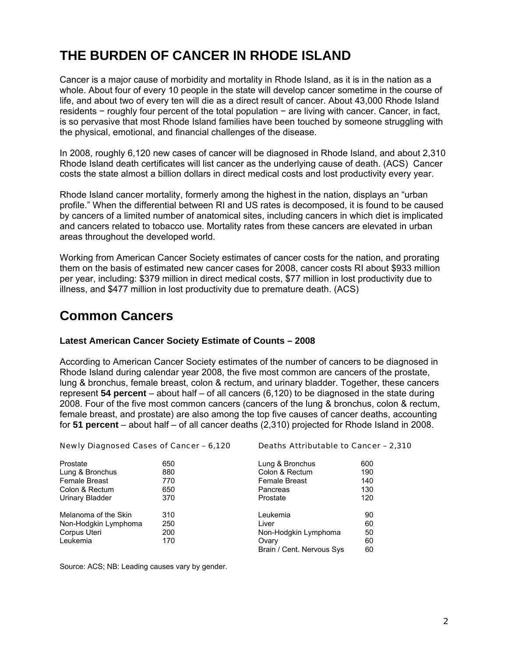# **THE BURDEN OF CANCER IN RHODE ISLAND**

Cancer is a major cause of morbidity and mortality in Rhode Island, as it is in the nation as a whole. About four of every 10 people in the state will develop cancer sometime in the course of life, and about two of every ten will die as a direct result of cancer. About 43,000 Rhode Island residents − roughly four percent of the total population − are living with cancer. Cancer, in fact, is so pervasive that most Rhode Island families have been touched by someone struggling with the physical, emotional, and financial challenges of the disease.

In 2008, roughly 6,120 new cases of cancer will be diagnosed in Rhode Island, and about 2,310 Rhode Island death certificates will list cancer as the underlying cause of death. (ACS) Cancer costs the state almost a billion dollars in direct medical costs and lost productivity every year.

Rhode Island cancer mortality, formerly among the highest in the nation, displays an "urban profile." When the differential between RI and US rates is decomposed, it is found to be caused by cancers of a limited number of anatomical sites, including cancers in which diet is implicated and cancers related to tobacco use. Mortality rates from these cancers are elevated in urban areas throughout the developed world.

Working from American Cancer Society estimates of cancer costs for the nation, and prorating them on the basis of estimated new cancer cases for 2008, cancer costs RI about \$933 million per year, including: \$379 million in direct medical costs, \$77 million in lost productivity due to illness, and \$477 million in lost productivity due to premature death. (ACS)

# **Common Cancers**

#### **Latest American Cancer Society Estimate of Counts – 2008**

According to American Cancer Society estimates of the number of cancers to be diagnosed in Rhode Island during calendar year 2008, the five most common are cancers of the prostate, lung & bronchus, female breast, colon & rectum, and urinary bladder. Together, these cancers represent **54 percent** – about half – of all cancers (6,120) to be diagnosed in the state during 2008. Four of the five most common cancers (cancers of the lung & bronchus, colon & rectum, female breast, and prostate) are also among the top five causes of cancer deaths, accounting for **51 percent** – about half – of all cancer deaths (2,310) projected for Rhode Island in 2008.

| Newly Diagnosed Cases of Cancer - 6,120 |     | Deaths Attributable to Cancer - 2,310 |     |  |  |  |
|-----------------------------------------|-----|---------------------------------------|-----|--|--|--|
| Prostate                                | 650 | Lung & Bronchus                       | 600 |  |  |  |
| Lung & Bronchus                         | 880 | Colon & Rectum                        | 190 |  |  |  |
| Female Breast                           | 770 | <b>Female Breast</b>                  | 140 |  |  |  |
| Colon & Rectum                          | 650 | Pancreas                              | 130 |  |  |  |
| Urinary Bladder                         | 370 | Prostate                              | 120 |  |  |  |
| Melanoma of the Skin                    | 310 | Leukemia                              | 90  |  |  |  |
| Non-Hodgkin Lymphoma                    | 250 | Liver                                 | 60  |  |  |  |
| Corpus Uteri                            | 200 | Non-Hodgkin Lymphoma                  | 50  |  |  |  |
| Leukemia                                | 170 | Ovarv                                 | 60  |  |  |  |
|                                         |     | Brain / Cent. Nervous Sys             | 60  |  |  |  |

Source: ACS; NB: Leading causes vary by gender.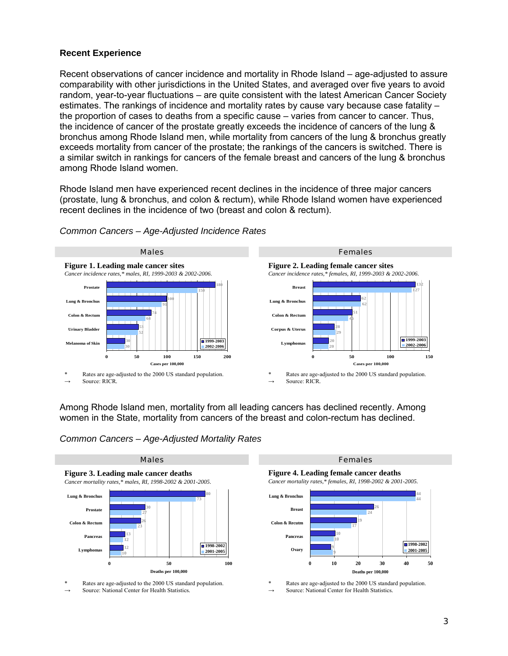#### **Recent Experience**

Recent observations of cancer incidence and mortality in Rhode Island – age-adjusted to assure comparability with other jurisdictions in the United States, and averaged over five years to avoid random, year-to-year fluctuations – are quite consistent with the latest American Cancer Society estimates. The rankings of incidence and mortality rates by cause vary because case fatality – the proportion of cases to deaths from a specific cause – varies from cancer to cancer. Thus, the incidence of cancer of the prostate greatly exceeds the incidence of cancers of the lung & bronchus among Rhode Island men, while mortality from cancers of the lung & bronchus greatly exceeds mortality from cancer of the prostate; the rankings of the cancers is switched. There is a similar switch in rankings for cancers of the female breast and cancers of the lung & bronchus among Rhode Island women.

Rhode Island men have experienced recent declines in the incidence of three major cancers (prostate, lung & bronchus, and colon & rectum), while Rhode Island women have experienced recent declines in the incidence of two (breast and colon & rectum).



*Common Cancers – Age-Adjusted Incidence Rates* 

Among Rhode Island men, mortality from all leading cancers has declined recently. Among women in the State, mortality from cancers of the breast and colon-rectum has declined.

#### *Common Cancers – Age-Adjusted Mortality Rates*



Rates are age-adjusted to the 2000 US standard population.

Source: National Center for Health Statistics.

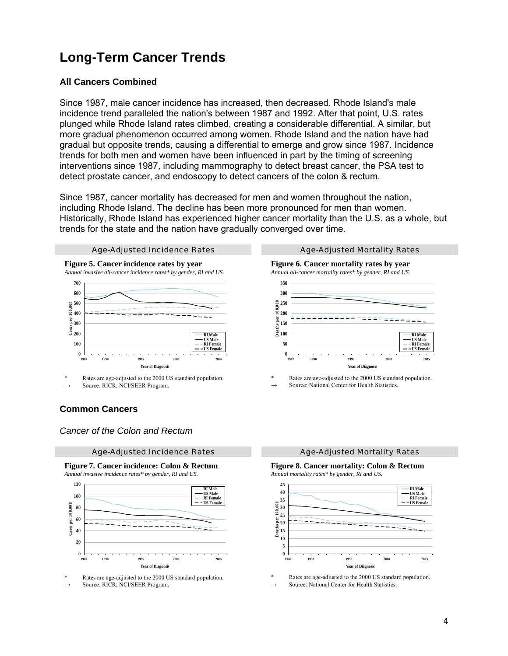# **Long-Term Cancer Trends**

#### **All Cancers Combined**

Since 1987, male cancer incidence has increased, then decreased. Rhode Island's male incidence trend paralleled the nation's between 1987 and 1992. After that point, U.S. rates plunged while Rhode Island rates climbed, creating a considerable differential. A similar, but more gradual phenomenon occurred among women. Rhode Island and the nation have had gradual but opposite trends, causing a differential to emerge and grow since 1987. Incidence trends for both men and women have been influenced in part by the timing of screening interventions since 1987, including mammography to detect breast cancer, the PSA test to detect prostate cancer, and endoscopy to detect cancers of the colon & rectum.

Since 1987, cancer mortality has decreased for men and women throughout the nation, including Rhode Island. The decline has been more pronounced for men than women. Historically, Rhode Island has experienced higher cancer mortality than the U.S. as a whole, but trends for the state and the nation have gradually converged over time.



Rates are age-adjusted to the 2000 US standard population.

Source: RICR; NCI/SEER Program.

#### **Common Cancers**

*Cancer of the Colon and Rectum* 



**Figure 7. Cancer incidence: Colon & Rectum**



Rates are age-adjusted to the 2000 US standard population. Source: RICR: NCI/SEER Program.

**Figure 6. Cancer mortality rates by year** *Annual all-cancer mortality rates\* by gender, RI and US.*



Rates are age-adjusted to the 2000 US standard population. Source: National Center for Health Statistics.

**Figure 8. Cancer mortality: Colon & Rectum** *Annual mortality rates\* by gender, RI and US.*

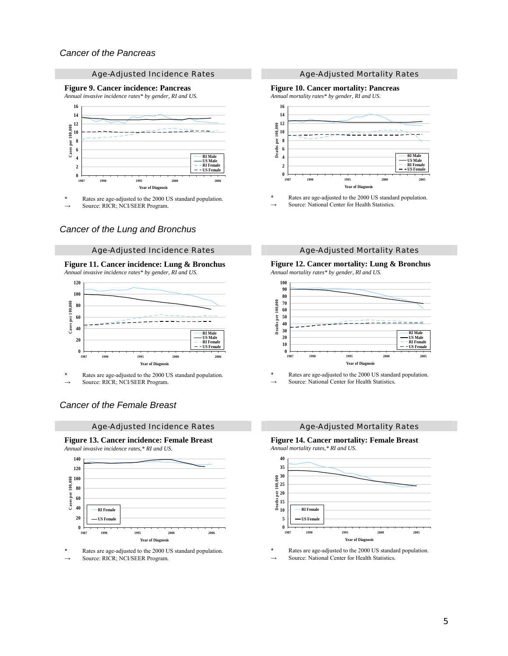#### Age-Adjusted Incidence Rates Age-Adjusted Mortality Rates

#### **Figure 9. Cancer incidence: Pancreas**

*Annual invasive incidence rates\* by gender, RI and US.*



\* Rates are age-adjusted to the 2000 US standard population.

Source: RICR; NCI/SEER Program.

#### *Cancer of the Lung and Bronchus*

#### **Figure 11. Cancer incidence: Lung & Bronchus** *Annual invasive incidence rates\* by gender, RI and US.*



Rates are age-adjusted to the 2000 US standard population. Source: RICR; NCI/SEER Program.

## *Cancer of the Female Breast*

Age-Adjusted Incidence Rates Age-Adjusted Mortality Rates

#### **Figure 13. Cancer incidence: Female Breast** *Annual invasive incidence rates,\* RI and US.*



Rates are age-adjusted to the 2000 US standard population.

Source: RICR; NCI/SEER Program.

#### **Figure 10. Cancer mortality: Pancreas**

*Annual mortality rates\* by gender, RI and US.*



Rates are age-adjusted to the 2000 US standard population. Source: National Center for Health Statistics.

#### Age-Adjusted Incidence Rates **Age-Adjusted Mortality Rates** Age-Adjusted Mortality Rates

#### **Figure 12. Cancer mortality: Lung & Bronchus** *Annual mortality rates\* by gender, RI and US.*



Rates are age-adjusted to the 2000 US standard population. Source: National Center for Health Statistics.

#### **Figure 14. Cancer mortality: Female Breast** *Annual mortality rates,\* RI and US.*

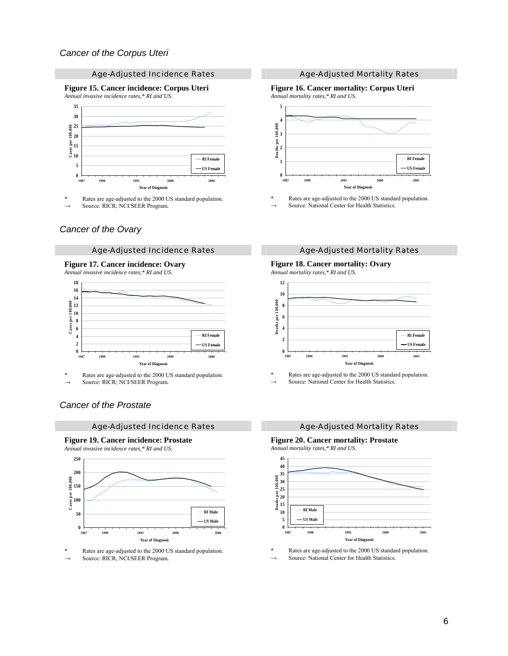#### Age-Adjusted Incidence Rates Age-Adjusted Mortality Rates

**Figure 15. Cancer incidence: Corpus Uteri** *Annual invasive incidence rates,\* RI and US.*



\* Rates are age-adjusted to the 2000 US standard population.

Source: RICR; NCI/SEER Program.

#### *Cancer of the Ovary*

#### **Figure 17. Cancer incidence: Ovary**

*Annual invasive incidence rates,\* RI and US.*



Rates are age-adjusted to the 2000 US standard population. Source: RICR; NCI/SEER Program.

#### *Cancer of the Prostate*

#### Age-Adjusted Incidence Rates Age-Adjusted Mortality Rates

**Figure 19. Cancer incidence: Prostate** *Annual invasive incidence rates,\* RI and US.*



Rates are age-adjusted to the 2000 US standard population.

Source: RICR; NCI/SEER Program.

#### **Figure 16. Cancer mortality: Corpus Uteri** *Annual mortality rates,\* RI and US.*



Rates are age-adjusted to the 2000 US standard population. Source: National Center for Health Statistics.

#### Age-Adjusted Incidence Rates **Age-Adjusted Mortality Rates** Age-Adjusted Mortality Rates

#### **Figure 18. Cancer mortality: Ovary**

*Annual mortality rates,\* RI and US.*



Rates are age-adjusted to the 2000 US standard population. Source: National Center for Health Statistics.

#### **Figure 20. Cancer mortality: Prostate**

*Annual mortality rates,\* RI and US.*

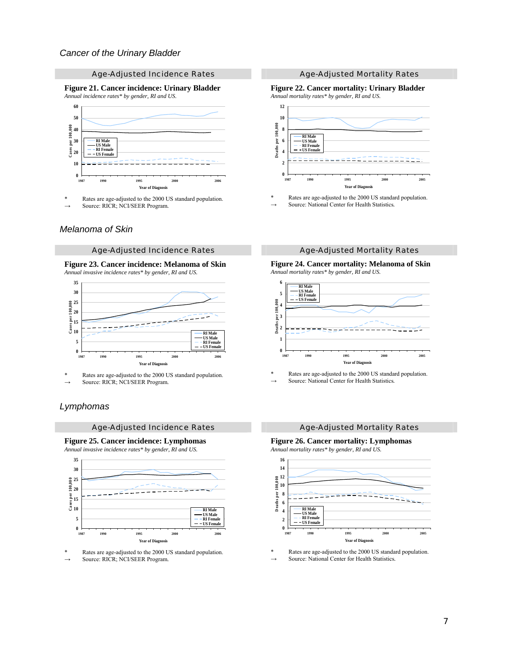#### Age-Adjusted Incidence Rates Age-Adjusted Mortality Rates

**Figure 21. Cancer incidence: Urinary Bladder** *Annual incidence rates\* by gender, RI and US.*



\* Rates are age-adjusted to the 2000 US standard population.

Source: RICR; NCI/SEER Program.

#### *Melanoma of Skin*

#### Age-Adjusted Incidence Rates **Age-Adjusted Mortality Rates** Age-Adjusted Mortality Rates

#### **Figure 23. Cancer incidence: Melanoma of Skin** *Annual invasive incidence rates\* by gender, RI and US.*



Rates are age-adjusted to the 2000 US standard population. Source: RICR; NCI/SEER Program.

#### *Lymphomas*

#### Age-Adjusted Incidence Rates **Age-Adjusted Mortality Rates** Age-Adjusted Mortality Rates

**Figure 25. Cancer incidence: Lymphomas** *Annual invasive incidence rates\* by gender, RI and US.*



Rates are age-adjusted to the 2000 US standard population. Source: RICR; NCI/SEER Program.

#### **Figure 22. Cancer mortality: Urinary Bladder** *Annual mortality rates\* by gender, RI and US.*



Rates are age-adjusted to the 2000 US standard population. Source: National Center for Health Statistics.

**Figure 24. Cancer mortality: Melanoma of Skin** *Annual mortality rates\* by gender, RI and US.*



Rates are age-adjusted to the 2000 US standard population. Source: National Center for Health Statistics.

**Figure 26. Cancer mortality: Lymphomas** *Annual mortality rates\* by gender, RI and US.*

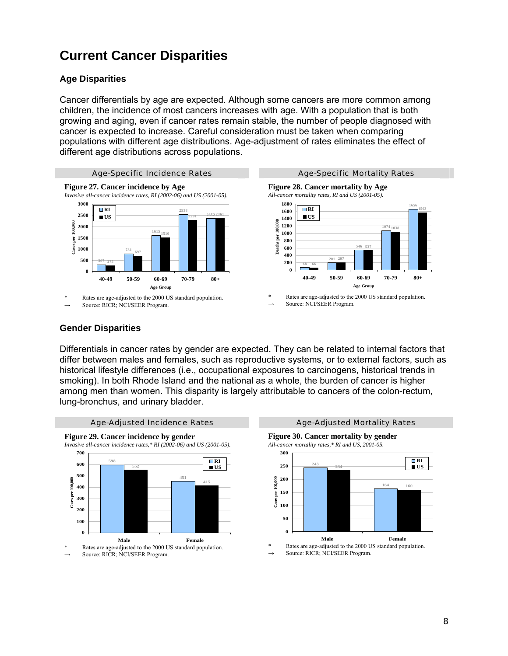# **Current Cancer Disparities**

## **Age Disparities**

Cancer differentials by age are expected. Although some cancers are more common among children, the incidence of most cancers increases with age. With a population that is both growing and aging, even if cancer rates remain stable, the number of people diagnosed with cancer is expected to increase. Careful consideration must be taken when comparing populations with different age distributions. Age-adjustment of rates eliminates the effect of different age distributions across populations.



#### **Gender Disparities**

Differentials in cancer rates by gender are expected. They can be related to internal factors that differ between males and females, such as reproductive systems, or to external factors, such as historical lifestyle differences (i.e., occupational exposures to carcinogens, historical trends in smoking). In both Rhode Island and the national as a whole, the burden of cancer is higher among men than women. This disparity is largely attributable to cancers of the colon-rectum, lung-bronchus, and urinary bladder.





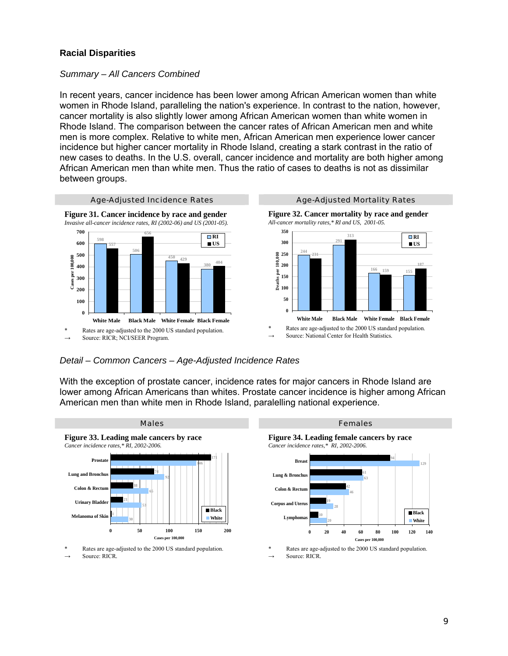#### **Racial Disparities**

#### *Summary – All Cancers Combined*

In recent years, cancer incidence has been lower among African American women than white women in Rhode Island, paralleling the nation's experience. In contrast to the nation, however, cancer mortality is also slightly lower among African American women than white women in Rhode Island. The comparison between the cancer rates of African American men and white men is more complex. Relative to white men, African American men experience lower cancer incidence but higher cancer mortality in Rhode Island, creating a stark contrast in the ratio of new cases to deaths. In the U.S. overall, cancer incidence and mortality are both higher among African American men than white men. Thus the ratio of cases to deaths is not as dissimilar between groups.



#### *Detail – Common Cancers – Age-Adjusted Incidence Rates*

With the exception of prostate cancer, incidence rates for major cancers in Rhode Island are lower among African Americans than whites. Prostate cancer incidence is higher among African American men than white men in Rhode Island, paralelling national experience.

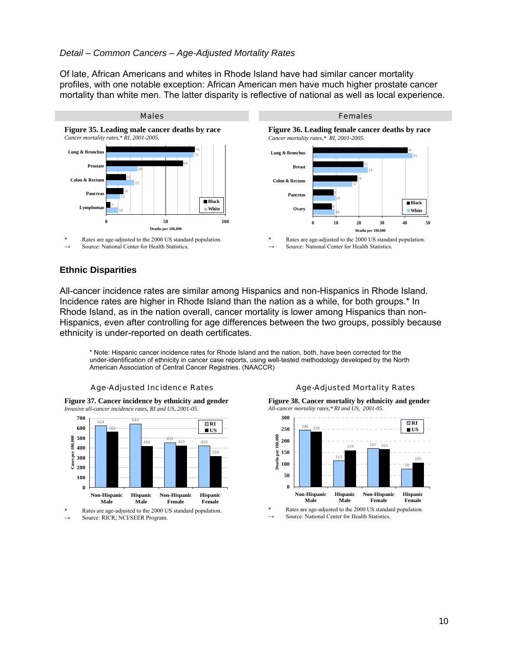#### *Detail – Common Cancers – Age-Adjusted Mortality Rates*

Of late, African Americans and whites in Rhode Island have had similar cancer mortality profiles, with one notable exception: African American men have much higher prostate cancer mortality than white men. The latter disparity is reflective of national as well as local experience.



Rates are age-adjusted to the 2000 US standard population. Source: National Center for Health Statistics.

**Figure 36. Leading female cancer deaths by race** *Cancer mortality rates,\* RI, 2001-2005.*



Rates are age-adjusted to the 2000 US standard population. Source: National Center for Health Statistics.

#### **Ethnic Disparities**

All-cancer incidence rates are similar among Hispanics and non-Hispanics in Rhode Island. Incidence rates are higher in Rhode Island than the nation as a while, for both groups.\* In Rhode Island, as in the nation overall, cancer mortality is lower among Hispanics than non-Hispanics, even after controlling for age differences between the two groups, possibly because ethnicity is under-reported on death certificates.

\* Note: Hispanic cancer incidence rates for Rhode Island and the nation, both, have been corrected for the under-identification of ethnicity in cancer case reports, using well-tested methodology developed by the North American Association of Central Cancer Registries. (NAACCR)



**Figure 37. Cancer incidence by ethnicity and gender** *Invasive all-cancer incidence rates, RI and US, 2001-05.*



Source: RICR; NCI/SEER Program.

**Figure 38. Cancer mortality by ethnicity and gender** *All-cancer mortality rates,\* RI and US, 2001-05.*



Source: National Center for Health Statistics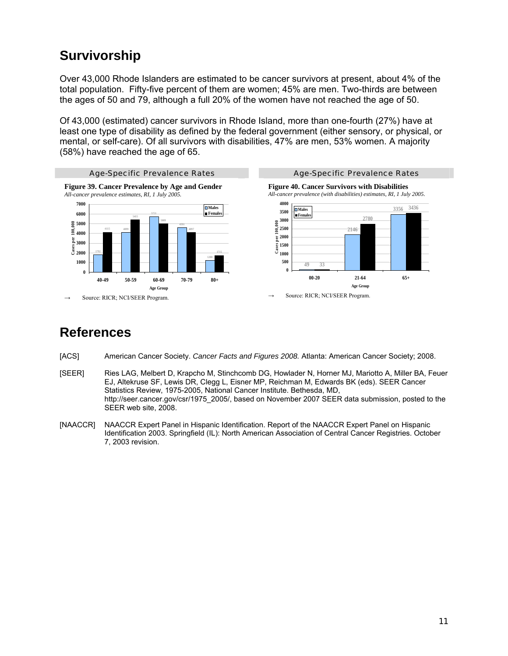# **Survivorship**

Over 43,000 Rhode Islanders are estimated to be cancer survivors at present, about 4% of the total population. Fifty-five percent of them are women; 45% are men. Two-thirds are between the ages of 50 and 79, although a full 20% of the women have not reached the age of 50.

Of 43,000 (estimated) cancer survivors in Rhode Island, more than one-fourth (27%) have at least one type of disability as defined by the federal government (either sensory, or physical, or mental, or self-care). Of all survivors with disabilities, 47% are men, 53% women. A majority (58%) have reached the age of 65.



# **References**

- [ACS] American Cancer Society. *Cancer Facts and Figures 2008.* Atlanta: American Cancer Society; 2008.
- [SEER] Ries LAG, Melbert D, Krapcho M, Stinchcomb DG, Howlader N, Horner MJ, Mariotto A, Miller BA, Feuer EJ, Altekruse SF, Lewis DR, Clegg L, Eisner MP, Reichman M, Edwards BK (eds). SEER Cancer Statistics Review, 1975-2005, National Cancer Institute. Bethesda, MD, http://seer.cancer.gov/csr/1975\_2005/, based on November 2007 SEER data submission, posted to the SEER web site, 2008.
- [NAACCR] NAACCR Expert Panel in Hispanic Identification. Report of the NAACCR Expert Panel on Hispanic Identification 2003. Springfield (IL): North American Association of Central Cancer Registries. October 7, 2003 revision.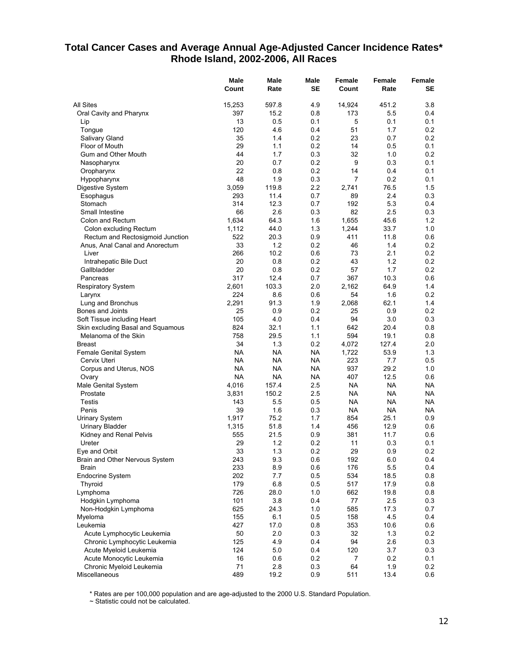## **Total Cancer Cases and Average Annual Age-Adjusted Cancer Incidence Rates\* Rhode Island, 2002-2006, All Races**

|                                                                  | <b>Male</b><br>Count | Male<br>Rate | Male<br><b>SE</b> | Female<br>Count | <b>Female</b><br>Rate | Female<br>SE |
|------------------------------------------------------------------|----------------------|--------------|-------------------|-----------------|-----------------------|--------------|
| <b>All Sites</b>                                                 | 15,253               | 597.8        | 4.9               | 14,924          | 451.2                 | 3.8          |
| Oral Cavity and Pharynx                                          | 397                  | 15.2         | 0.8               | 173             | 5.5                   | 0.4          |
| Lip                                                              | 13                   | 0.5          | 0.1               | 5               | 0.1                   | 0.1          |
| Tongue                                                           | 120                  | 4.6          | 0.4               | 51              | 1.7                   | 0.2          |
| Salivary Gland                                                   | 35                   | 1.4          | 0.2               | 23              | 0.7                   | 0.2          |
| Floor of Mouth                                                   | 29                   | 1.1          | 0.2               | 14              | 0.5                   | 0.1          |
| Gum and Other Mouth                                              | 44                   | 1.7          | 0.3               | 32              | 1.0                   | 0.2          |
| Nasopharynx                                                      | 20                   | 0.7          | 0.2               | 9               | 0.3                   | 0.1          |
| Oropharynx                                                       | 22                   | 0.8          | 0.2               | 14              | 0.4                   | 0.1          |
| Hypopharynx                                                      | 48                   | 1.9          | 0.3               | $\overline{7}$  | 0.2                   | 0.1          |
| Digestive System                                                 | 3,059                | 119.8        | 2.2               | 2,741           | 76.5                  | 1.5          |
| Esophagus                                                        | 293                  | 11.4         | 0.7               | 89              | 2.4                   | 0.3          |
| Stomach                                                          | 314                  | 12.3         | 0.7               | 192             | 5.3                   | 0.4          |
| Small Intestine                                                  | 66                   | 2.6          | 0.3               | 82              | 2.5                   | 0.3          |
| Colon and Rectum                                                 | 1,634                | 64.3         | 1.6               | 1,655           | 45.6                  | 1.2          |
| Colon excluding Rectum                                           | 1,112                | 44.0         | 1.3               | 1,244           | 33.7                  | 1.0          |
| Rectum and Rectosigmoid Junction                                 | 522                  | 20.3         | 0.9               | 411             | 11.8                  | 0.6          |
| Anus, Anal Canal and Anorectum                                   | 33                   | 1.2          | 0.2               | 46              | 1.4                   | 0.2          |
| Liver                                                            | 266                  | 10.2         | 0.6               | 73              | 2.1                   | 0.2          |
| Intrahepatic Bile Duct                                           | 20                   | 0.8          | 0.2               | 43              | 1.2                   | 0.2          |
| Gallbladder                                                      | 20                   | 0.8          | 0.2               | 57              | 1.7                   | 0.2          |
| Pancreas                                                         | 317                  | 12.4         | 0.7               | 367             | 10.3                  | 0.6          |
| <b>Respiratory System</b>                                        | 2,601                | 103.3        | 2.0               | 2,162           | 64.9                  | 1.4          |
| Larynx                                                           | 224                  | 8.6          | 0.6               | 54              | 1.6                   | 0.2          |
| Lung and Bronchus                                                | 2,291<br>25          | 91.3         | 1.9<br>0.2        | 2,068           | 62.1                  | 1.4<br>0.2   |
| Bones and Joints                                                 | 105                  | 0.9          |                   | 25<br>94        | 0.9                   |              |
| Soft Tissue including Heart<br>Skin excluding Basal and Squamous | 824                  | 4.0<br>32.1  | 0.4<br>1.1        | 642             | 3.0                   | 0.3          |
| Melanoma of the Skin                                             | 758                  | 29.5         | 1.1               | 594             | 20.4<br>19.1          | 0.8<br>0.8   |
| <b>Breast</b>                                                    | 34                   | 1.3          | 0.2               | 4,072           | 127.4                 | 2.0          |
| Female Genital System                                            | <b>NA</b>            | <b>NA</b>    | <b>NA</b>         | 1,722           | 53.9                  | 1.3          |
| Cervix Uteri                                                     | <b>NA</b>            | <b>NA</b>    | <b>NA</b>         | 223             | 7.7                   | 0.5          |
| Corpus and Uterus, NOS                                           | <b>NA</b>            | <b>NA</b>    | NA                | 937             | 29.2                  | 1.0          |
| Ovary                                                            | <b>NA</b>            | <b>NA</b>    | <b>NA</b>         | 407             | 12.5                  | 0.6          |
| Male Genital System                                              | 4,016                | 157.4        | 2.5               | <b>NA</b>       | <b>NA</b>             | NA.          |
| Prostate                                                         | 3,831                | 150.2        | 2.5               | <b>NA</b>       | <b>NA</b>             | NA           |
| Testis                                                           | 143                  | 5.5          | 0.5               | <b>NA</b>       | <b>NA</b>             | NA.          |
| Penis                                                            | 39                   | 1.6          | 0.3               | <b>NA</b>       | NA                    | NA.          |
| <b>Urinary System</b>                                            | 1,917                | 75.2         | 1.7               | 854             | 25.1                  | 0.9          |
| <b>Urinary Bladder</b>                                           | 1,315                | 51.8         | 1.4               | 456             | 12.9                  | 0.6          |
| Kidney and Renal Pelvis                                          | 555                  | 21.5         | 0.9               | 381             | 11.7                  | 0.6          |
| Ureter                                                           | 29                   | 1.2          | 0.2               | 11              | 0.3                   | 0.1          |
| Eye and Orbit                                                    | 33                   | 1.3          | 0.2               | 29              | 0.9                   | 0.2          |
| Brain and Other Nervous System                                   | 243                  | 9.3          | 0.6               | 192             | 6.0                   | 0.4          |
| Brain                                                            | 233                  | 8.9          | 0.6               | 176             | 5.5                   | 0.4          |
| Endocrine System                                                 | 202                  | 7.7          | 0.5               | 534             | 18.5                  | 0.8          |
| Thyroid                                                          | 179                  | 6.8          | 0.5               | 517             | 17.9                  | 0.8          |
| Lymphoma                                                         | 726                  | 28.0         | 1.0               | 662             | 19.8                  | 0.8          |
| Hodgkin Lymphoma                                                 | 101                  | 3.8          | 0.4               | 77              | 2.5                   | 0.3          |
| Non-Hodgkin Lymphoma                                             | 625                  | 24.3         | 1.0               | 585             | 17.3                  | 0.7          |
| Myeloma                                                          | 155                  | 6.1          | 0.5               | 158             | 4.5                   | 0.4          |
| Leukemia                                                         | 427                  | 17.0         | 0.8               | 353             | 10.6                  | 0.6          |
| Acute Lymphocytic Leukemia                                       | 50                   | 2.0          | 0.3               | 32              | 1.3                   | 0.2          |
| Chronic Lymphocytic Leukemia                                     | 125                  | 4.9          | 0.4               | 94              | 2.6                   | 0.3          |
| Acute Myeloid Leukemia                                           | 124                  | 5.0          | 0.4               | 120             | 3.7                   | 0.3          |
| Acute Monocytic Leukemia                                         | 16                   | 0.6          | 0.2               | 7               | 0.2                   | 0.1          |
| Chronic Myeloid Leukemia                                         | 71                   | 2.8          | 0.3               | 64              | 1.9                   | 0.2          |
| Miscellaneous                                                    | 489                  | 19.2         | 0.9               | 511             | 13.4                  | 0.6          |

\* Rates are per 100,000 population and are age-adjusted to the 2000 U.S. Standard Population.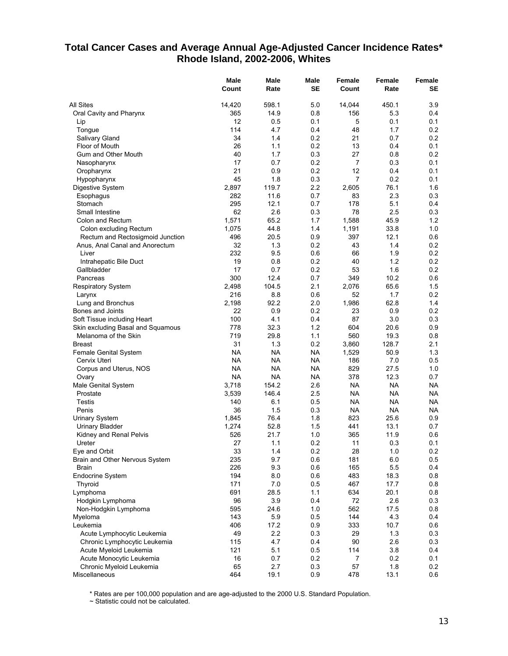## **Total Cancer Cases and Average Annual Age-Adjusted Cancer Incidence Rates\* Rhode Island, 2002-2006, Whites**

|                                   | Male<br>Count | Male<br>Rate | Male<br><b>SE</b> | <b>Female</b><br>Count | Female<br>Rate | Female<br>SE |
|-----------------------------------|---------------|--------------|-------------------|------------------------|----------------|--------------|
| All Sites                         | 14,420        | 598.1        | 5.0               | 14,044                 | 450.1          | 3.9          |
| Oral Cavity and Pharynx           | 365           | 14.9         | 0.8               | 156                    | 5.3            | 0.4          |
| Lip                               | 12            | 0.5          | 0.1               | 5                      | 0.1            | 0.1          |
| Tongue                            | 114           | 4.7          | 0.4               | 48                     | 1.7            | 0.2          |
| Salivary Gland                    | 34            | 1.4          | 0.2               | 21                     | 0.7            | 0.2          |
| Floor of Mouth                    | 26            | 1.1          | 0.2               | 13                     | 0.4            | 0.1          |
| Gum and Other Mouth               | 40            | 1.7          | 0.3               | 27                     | 0.8            | 0.2          |
| Nasopharynx                       | 17            | 0.7          | 0.2               | $\overline{7}$         | 0.3            | 0.1          |
| Oropharynx                        | 21            | 0.9          | 0.2               | 12                     | 0.4            | 0.1          |
| Hypopharynx                       | 45            | 1.8          | 0.3               | $\overline{7}$         | 0.2            | 0.1          |
| Digestive System                  | 2,897         | 119.7        | 2.2               | 2,605                  | 76.1           | 1.6          |
| Esophagus                         | 282           | 11.6         | 0.7               | 83                     | 2.3            | 0.3          |
| Stomach                           | 295           | 12.1         | 0.7               | 178                    | 5.1            | 0.4          |
| Small Intestine                   | 62            | 2.6          | 0.3               | 78                     | 2.5            | 0.3          |
| Colon and Rectum                  | 1,571         | 65.2         | 1.7               | 1,588                  | 45.9           | 1.2          |
| Colon excluding Rectum            | 1,075         | 44.8         | 1.4               | 1,191                  | 33.8           | 1.0          |
| Rectum and Rectosigmoid Junction  | 496           | 20.5         | 0.9               | 397                    | 12.1           | 0.6          |
| Anus, Anal Canal and Anorectum    | 32            | 1.3          | 0.2               | 43                     | 1.4            | 0.2          |
| Liver                             | 232           | 9.5          | 0.6               | 66                     | 1.9            | 0.2          |
| Intrahepatic Bile Duct            | 19            | 0.8          | 0.2               | 40                     | 1.2            | 0.2          |
| Gallbladder                       | 17            | 0.7          | 0.2               | 53                     | 1.6            | 0.2          |
| Pancreas                          | 300           | 12.4         | 0.7               | 349                    | 10.2           | 0.6          |
| <b>Respiratory System</b>         | 2,498         | 104.5        | 2.1               | 2,076                  | 65.6           | 1.5          |
| Larynx                            | 216           | 8.8          | 0.6               | 52                     | 1.7            | 0.2          |
| Lung and Bronchus                 | 2,198         | 92.2         | 2.0               | 1,986                  | 62.8           | 1.4          |
| Bones and Joints                  | 22            | 0.9          | 0.2               | 23                     | 0.9            | 0.2          |
| Soft Tissue including Heart       | 100           | 4.1          | 0.4               | 87                     | 3.0            | 0.3          |
| Skin excluding Basal and Squamous | 778           | 32.3         | 1.2               | 604                    | 20.6           | 0.9          |
| Melanoma of the Skin              | 719           | 29.8         | 1.1               | 560                    | 19.3           | 0.8          |
| <b>Breast</b>                     | 31            | 1.3          | 0.2               | 3,860                  | 128.7          | 2.1          |
| Female Genital System             | <b>NA</b>     | <b>NA</b>    | NA                | 1,529                  | 50.9           | 1.3          |
| Cervix Uteri                      | <b>NA</b>     | <b>NA</b>    | <b>NA</b>         | 186                    | 7.0            | 0.5          |
| Corpus and Uterus, NOS            | <b>NA</b>     | <b>NA</b>    | NA                | 829                    | 27.5           | 1.0          |
| Ovary                             | <b>NA</b>     | <b>NA</b>    | <b>NA</b>         | 378                    | 12.3           | 0.7          |
| Male Genital System               | 3,718         | 154.2        | 2.6               | <b>NA</b>              | <b>NA</b>      | <b>NA</b>    |
| Prostate                          | 3,539         | 146.4        | 2.5               | NA                     | <b>NA</b>      | NA           |
| Testis                            | 140           | 6.1          | 0.5               | <b>NA</b>              | NA             | NA           |
| Penis                             | 36            | 1.5          | 0.3               | <b>NA</b><br>823       | NA             | NA           |
| <b>Urinary System</b>             | 1,845         | 76.4         | 1.8               |                        | 25.6           | 0.9          |
| <b>Urinary Bladder</b>            | 1,274<br>526  | 52.8<br>21.7 | 1.5<br>1.0        | 441<br>365             | 13.1<br>11.9   | 0.7<br>0.6   |
| Kidney and Renal Pelvis           | 27            | 1.1          | 0.2               | 11                     | 0.3            | 0.1          |
| Ureter<br>Eye and Orbit           | 33            | 1.4          | 0.2               | 28                     | 1.0            | $0.2\,$      |
| Brain and Other Nervous System    | 235           | 9.7          | 0.6               | 181                    | 6.0            | 0.5          |
| Brain                             | 226           | 9.3          | 0.6               | 165                    | 5.5            | 0.4          |
| <b>Endocrine System</b>           | 194           | 8.0          | 0.6               | 483                    | 18.3           | 0.8          |
| Thyroid                           | 171           | 7.0          | 0.5               | 467                    | 17.7           | 0.8          |
| Lymphoma                          | 691           | 28.5         | 1.1               | 634                    | 20.1           | 0.8          |
| Hodgkin Lymphoma                  | 96            | 3.9          | 0.4               | 72                     | 2.6            | 0.3          |
| Non-Hodgkin Lymphoma              | 595           | 24.6         | 1.0               | 562                    | 17.5           | 0.8          |
| Myeloma                           | 143           | 5.9          | 0.5               | 144                    | 4.3            | 0.4          |
| Leukemia                          | 406           | 17.2         | 0.9               | 333                    | 10.7           | 0.6          |
| Acute Lymphocytic Leukemia        | 49            | 2.2          | 0.3               | 29                     | 1.3            | 0.3          |
| Chronic Lymphocytic Leukemia      | 115           | 4.7          | 0.4               | 90                     | 2.6            | 0.3          |
| Acute Myeloid Leukemia            | 121           | 5.1          | 0.5               | 114                    | 3.8            | 0.4          |
| Acute Monocytic Leukemia          | 16            | 0.7          | 0.2               | 7                      | 0.2            | 0.1          |
| Chronic Myeloid Leukemia          | 65            | 2.7          | 0.3               | 57                     | 1.8            | 0.2          |
| Miscellaneous                     | 464           | 19.1         | 0.9               | 478                    | 13.1           | 0.6          |

\* Rates are per 100,000 population and are age-adjusted to the 2000 U.S. Standard Population.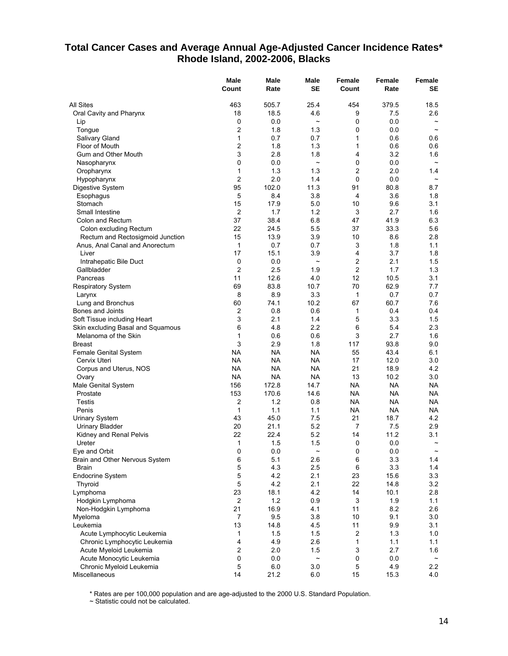## **Total Cancer Cases and Average Annual Age-Adjusted Cancer Incidence Rates\* Rhode Island, 2002-2006, Blacks**

|                                   | Male<br>Count    | <b>Male</b><br>Rate | Male<br><b>SE</b>     | Female<br>Count | Female<br>Rate    | Female<br>SE          |
|-----------------------------------|------------------|---------------------|-----------------------|-----------------|-------------------|-----------------------|
| All Sites                         | 463              | 505.7               | 25.4                  | 454             | 379.5             | 18.5                  |
| Oral Cavity and Pharynx           | 18               | 18.5                | 4.6                   | 9               | 7.5               | 2.6                   |
| Lip                               | 0                | 0.0                 | $\tilde{}$            | 0               | 0.0               |                       |
| Tonque                            | $\overline{c}$   | 1.8                 | 1.3                   | 0               | 0.0               | $\tilde{\phantom{a}}$ |
| Salivary Gland                    | 1                | 0.7                 | 0.7                   | 1               | 0.6               | 0.6                   |
| Floor of Mouth                    | $\overline{2}$   | 1.8                 | 1.3                   | 1               | 0.6               | 0.6                   |
| Gum and Other Mouth               | 3                | 2.8                 | 1.8                   | 4               | 3.2               | 1.6                   |
| Nasopharynx                       | 0                | 0.0                 | $\tilde{}$            | 0               | 0.0               | $\tilde{}$            |
| Oropharynx                        | 1                | 1.3                 | 1.3                   | 2               | 2.0               | 1.4                   |
| Hypopharynx                       | $\overline{2}$   | 2.0                 | 1.4                   | 0               | 0.0               | $\tilde{}$            |
| Digestive System                  | 95               | 102.0               | 11.3                  | 91              | 80.8              | 8.7                   |
| Esophagus                         | 5                | 8.4                 | 3.8                   | 4               | 3.6               | 1.8                   |
| Stomach                           | 15               | 17.9                | 5.0                   | 10              | 9.6               | 3.1                   |
| Small Intestine                   | $\overline{2}$   | 1.7                 | 1.2                   | 3               | 2.7               | 1.6                   |
| Colon and Rectum                  | 37               | 38.4                | 6.8                   | 47              | 41.9              | 6.3                   |
| Colon excluding Rectum            | 22               | 24.5                | 5.5                   | 37              | 33.3              | 5.6                   |
| Rectum and Rectosigmoid Junction  | 15               | 13.9                | 3.9                   | 10              | 8.6               | 2.8                   |
| Anus, Anal Canal and Anorectum    | 1                | 0.7                 | 0.7                   | 3               | 1.8               | 1.1                   |
| Liver                             | 17               | 15.1                | 3.9                   | 4               | 3.7               | 1.8                   |
| Intrahepatic Bile Duct            | 0                | 0.0                 | $\tilde{\phantom{a}}$ | $\overline{c}$  | 2.1               | 1.5                   |
| Gallbladder                       | $\overline{2}$   | 2.5                 | 1.9                   | $\overline{c}$  | 1.7               | 1.3                   |
| Pancreas                          | 11               | 12.6                | 4.0                   | 12              | 10.5              | 3.1                   |
| <b>Respiratory System</b>         | 69               | 83.8                | 10.7                  | 70              | 62.9              | 7.7                   |
| Larynx                            | 8                | 8.9                 | 3.3                   | 1               | 0.7               | 0.7                   |
| Lung and Bronchus                 | 60               | 74.1                | 10.2                  | 67              | 60.7              | 7.6                   |
| Bones and Joints                  | 2                | 0.8                 | 0.6                   | 1               | 0.4               | 0.4                   |
| Soft Tissue including Heart       | 3                | 2.1                 | 1.4                   | 5               | 3.3               | 1.5                   |
| Skin excluding Basal and Squamous | 6                | 4.8                 | 2.2                   | 6               | 5.4               | 2.3                   |
| Melanoma of the Skin              | 1                | 0.6                 | 0.6                   | 3               | 2.7               | 1.6                   |
| <b>Breast</b>                     | 3                | 2.9                 | 1.8                   | 117             | 93.8              | 9.0                   |
| <b>Female Genital System</b>      | <b>NA</b>        | <b>NA</b>           | <b>NA</b>             | 55              | 43.4              | 6.1                   |
| Cervix Uteri                      | <b>NA</b>        | <b>NA</b>           | <b>NA</b>             | 17              | 12.0              | 3.0                   |
| Corpus and Uterus, NOS            | NA               | <b>NA</b>           | <b>NA</b>             | 21              | 18.9              | 4.2                   |
| Ovary                             | <b>NA</b><br>156 | <b>NA</b><br>172.8  | <b>NA</b><br>14.7     | 13<br>NA        | 10.2<br><b>NA</b> | 3.0<br><b>NA</b>      |
| Male Genital System<br>Prostate   | 153              | 170.6               | 14.6                  | <b>NA</b>       | <b>NA</b>         | ΝA                    |
| Testis                            | 2                | 1.2                 | 0.8                   | NA              | <b>NA</b>         | NA                    |
| Penis                             | 1                | 1.1                 | 1.1                   | <b>NA</b>       | <b>NA</b>         | ΝA                    |
| <b>Urinary System</b>             | 43               | 45.0                | 7.5                   | 21              | 18.7              | 4.2                   |
| <b>Urinary Bladder</b>            | 20               | 21.1                | 5.2                   | 7               | 7.5               | 2.9                   |
| Kidney and Renal Pelvis           | 22               | 22.4                | 5.2                   | 14              | 11.2              | 3.1                   |
| Ureter                            | 1                | 1.5                 | 1.5                   | 0               | 0.0               | $\tilde{}$            |
| Eye and Orbit                     | 0                | 0.0                 | $\tilde{}$            | 0               | 0.0               | $\thicksim$           |
| Brain and Other Nervous System    | 6                | 5.1                 | 2.6                   | 6               | 3.3               | 1.4                   |
| Brain                             | 5                | 4.3                 | 2.5                   | 6               | 3.3               | 1.4                   |
| <b>Endocrine System</b>           | 5                | 4.2                 | 2.1                   | 23              | 15.6              | 3.3                   |
| Thyroid                           | 5                | 4.2                 | 2.1                   | 22              | 14.8              | 3.2                   |
| Lymphoma                          | 23               | 18.1                | 4.2                   | 14              | 10.1              | 2.8                   |
| Hodgkin Lymphoma                  | $\overline{2}$   | 1.2                 | 0.9                   | 3               | 1.9               | 1.1                   |
| Non-Hodgkin Lymphoma              | 21               | 16.9                | 4.1                   | 11              | 8.2               | 2.6                   |
| Myeloma                           | $\overline{7}$   | 9.5                 | 3.8                   | 10              | 9.1               | 3.0                   |
| Leukemia                          | 13               | 14.8                | 4.5                   | 11              | 9.9               | 3.1                   |
| Acute Lymphocytic Leukemia        | 1                | 1.5                 | 1.5                   | 2               | 1.3               | 1.0                   |
| Chronic Lymphocytic Leukemia      | 4                | 4.9                 | 2.6                   | 1               | 1.1               | 1.1                   |
| Acute Myeloid Leukemia            | $\overline{2}$   | 2.0                 | 1.5                   | 3               | 2.7               | 1.6                   |
| Acute Monocytic Leukemia          | 0                | 0.0                 | $\tilde{}$            | 0               | 0.0               | $\tilde{}$            |
| Chronic Myeloid Leukemia          | 5                | 6.0                 | 3.0                   | 5               | 4.9               | 2.2                   |
| Miscellaneous                     | 14               | 21.2                | 6.0                   | 15              | 15.3              | 4.0                   |

\* Rates are per 100,000 population and are age-adjusted to the 2000 U.S. Standard Population.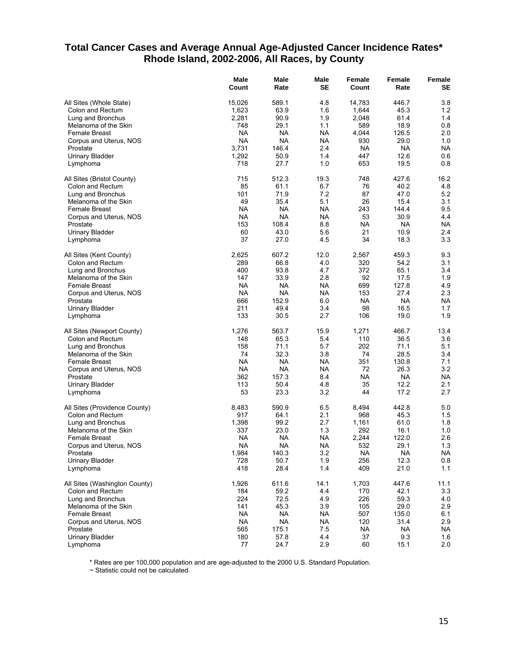## **Total Cancer Cases and Average Annual Age-Adjusted Cancer Incidence Rates\* Rhode Island, 2002-2006, All Races, by County**

|                               | Male<br>Count | Male<br>Rate | Male<br>SE | Female<br>Count | Female<br>Rate | Female<br>SE |
|-------------------------------|---------------|--------------|------------|-----------------|----------------|--------------|
|                               |               |              |            |                 |                |              |
| All Sites (Whole State)       | 15,026        | 589.1        | 4.8        | 14,783          | 446.7          | 3.8          |
| Colon and Rectum              | 1,623         | 63.9         | 1.6        | 1,644           | 45.3           | 1.2          |
| Lung and Bronchus             | 2,281         | 90.9         | 1.9        | 2,048           | 61.4           | 1.4          |
| Melanoma of the Skin          | 748           | 29.1         | 1.1        | 589             | 18.9           | 0.8          |
| Female Breast                 | <b>NA</b>     | NA           | NA         | 4,044           | 126.5          | 2.0          |
| Corpus and Uterus, NOS        | <b>NA</b>     | NA           | NA         | 930             | 29.0           | 1.0          |
| Prostate                      | 3,731         | 146.4        | 2.4        | <b>NA</b>       | <b>NA</b>      | <b>NA</b>    |
| <b>Urinary Bladder</b>        | 1,292         | 50.9         | 1.4        | 447             | 12.6           | 0.6          |
| Lymphoma                      | 718           | 27.7         | 1.0        | 653             | 19.5           | 0.8          |
| All Sites (Bristol County)    | 715           | 512.3        | 19.3       | 748             | 427.6          | 16.2         |
| Colon and Rectum              | 85            | 61.1         | 6.7        | 76              | 40.2           | 4.8          |
| Lung and Bronchus             | 101           | 71.9         | 7.2        | 87              | 47.0           | 5.2          |
| Melanoma of the Skin          | 49            | 35.4         | 5.1        | 26              | 15.4           | 3.1          |
| <b>Female Breast</b>          | NA.           | NA           | <b>NA</b>  | 243             | 144.4          | 9.5          |
| Corpus and Uterus, NOS        | NA            | NA           | NA         | 53              | 30.9           | 4.4          |
| Prostate                      | 153           | 108.4        | 8.8        | <b>NA</b>       | <b>NA</b>      | <b>NA</b>    |
| <b>Urinary Bladder</b>        | 60            | 43.0         | 5.6        | 21              | 10.9           | 2.4          |
| Lymphoma                      | 37            | 27.0         | 45         | 34              | 18.3           | 3.3          |
| All Sites (Kent County)       | 2,625         | 607.2        | 12.0       | 2,567           | 459.3          | 9.3          |
| Colon and Rectum              | 289           | 66.8         | 4.0        | 320             | 54.2           | 3.1          |
| Lung and Bronchus             | 400           | 93.8         | 4.7        | 372             | 65.1           | 3.4          |
| Melanoma of the Skin          | 147           | 33.9         | 2.8        | 92              | 17.5           | 1.9          |
| Female Breast                 | <b>NA</b>     | NA           | NA         | 699             | 127.8          | 4.9          |
| Corpus and Uterus, NOS        | NA            | NA           | NA         | 153             | 27.4           | 2.3          |
| Prostate                      | 666           | 152.9        | 6.0        | <b>NA</b>       | <b>NA</b>      | <b>NA</b>    |
| <b>Urinary Bladder</b>        | 211           | 49.4         | 3.4        | 98              | 16.5           | 1.7          |
| Lymphoma                      | 133           | 30.5         | 2.7        | 106             | 19.0           | 1.9          |
| All Sites (Newport County)    | 1,276         | 563.7        | 15.9       | 1,271           | 466.7          | 13.4         |
| Colon and Rectum              | 148           | 65.3         | 5.4        | 110             | 36.5           | 3.6          |
|                               |               |              | 5.7        |                 |                | 5.1          |
| Lung and Bronchus             | 158           | 71.1         |            | 202             | 71.1           |              |
| Melanoma of the Skin          | 74            | 32.3         | 3.8        | 74              | 28.5           | 3.4          |
| Female Breast                 | <b>NA</b>     | NA           | NA         | 351             | 130.8          | 7.1          |
| Corpus and Uterus, NOS        | NA            | <b>NA</b>    | NA         | 72              | 26.3           | 3.2          |
| Prostate                      | 362           | 157.3        | 8.4        | <b>NA</b>       | <b>NA</b>      | NA           |
| <b>Urinary Bladder</b>        | 113           | 50.4         | 4.8        | 35              | 12.2           | 2.1          |
| Lymphoma                      | 53            | 23.3         | 3.2        | 44              | 17.2           | 2.7          |
| All Sites (Providence County) | 8,483         | 590.9        | 6.5        | 8,494           | 442.8          | 5.0          |
| Colon and Rectum              | 917           | 64.1         | 2.1        | 968             | 45.3           | 1.5          |
| Lung and Bronchus             | 1,398         | 99.2         | 2.7        | 1,161           | 61.0           | 1.8          |
| Melanoma of the Skin          | 337           | 23.0         | 1.3        | 292             | 16.1           | 1.0          |
| Female Breast                 | NA            | NA           | NA         | 2,244           | 122.0          | 2.6          |
| Corpus and Uterus, NOS        | <b>NA</b>     | <b>NA</b>    | <b>NA</b>  | 532             | 29.1           | 1.3          |
| Prostate                      | 1,984         | 140.3        | 3.2        | <b>NA</b>       | <b>NA</b>      | <b>NA</b>    |
| <b>Urinary Bladder</b>        | 728           | 50.7         | 1.9        | 256             | 12.3           | $0.8\,$      |
| Lymphoma                      | 418           | 28.4         | 1.4        | 409             | 21.0           | 1.1          |
| All Sites (Washington County) | 1,926         | 611.6        | 14.1       | 1,703           | 447.6          | 11.1         |
| Colon and Rectum              | 184           | 59.2         | 4.4        | 170             | 42.1           | 3.3          |
| Lung and Bronchus             | 224           | 72.5         | 4.9        | 226             | 59.3           | 4.0          |
| Melanoma of the Skin          | 141           | 45.3         | 3.9        | 105             | 29.0           | 2.9          |
| <b>Female Breast</b>          | NA            | NA.          | <b>NA</b>  | 507             | 135.0          | 6.1          |
| Corpus and Uterus, NOS        | <b>NA</b>     | <b>NA</b>    | <b>NA</b>  | 120             | 31.4           | 2.9          |
| Prostate                      | 565           | 175.1        | 7.5        | <b>NA</b>       | <b>NA</b>      | <b>NA</b>    |
| <b>Urinary Bladder</b>        | 180           | 57.8         | 4.4        | 37              | 9.3            | 1.6          |
| Lymphoma                      | 77            | 24.7         | 2.9        | 60              | 15.1           | $2.0\,$      |
|                               |               |              |            |                 |                |              |

\* Rates are per 100,000 population and are age-adjusted to the 2000 U.S. Standard Population.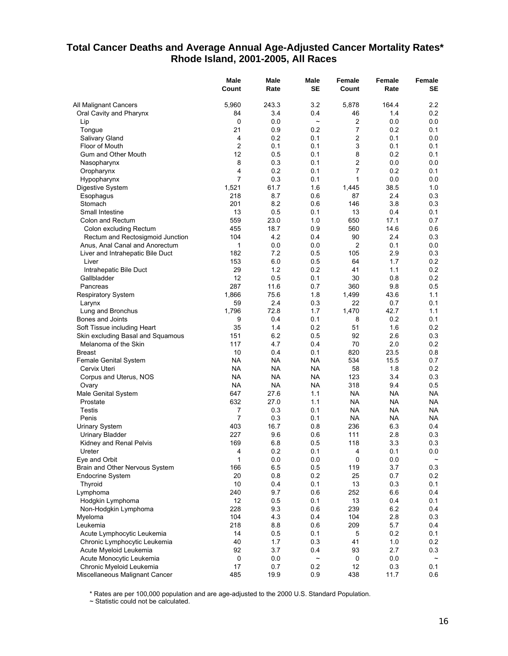## **Total Cancer Deaths and Average Annual Age-Adjusted Cancer Mortality Rates\* Rhode Island, 2001-2005, All Races**

|                                                                  | Male<br>Count  | Male<br>Rate | Male<br><b>SE</b> | Female<br>Count | Female<br>Rate | Female<br>SE          |
|------------------------------------------------------------------|----------------|--------------|-------------------|-----------------|----------------|-----------------------|
| All Malignant Cancers                                            | 5,960          | 243.3        | 3.2               | 5,878           | 164.4          | 2.2                   |
| Oral Cavity and Pharynx                                          | 84             | 3.4          | 0.4               | 46              | 1.4            | 0.2                   |
| Lip                                                              | 0              | 0.0          | $\tilde{}$        | $\overline{c}$  | 0.0            | 0.0                   |
| Tongue                                                           | 21             | 0.9          | 0.2               | 7               | 0.2            | 0.1                   |
| Salivary Gland                                                   | 4              | 0.2          | 0.1               | 2               | 0.1            | 0.0                   |
| Floor of Mouth                                                   | $\overline{2}$ | 0.1          | 0.1               | 3               | 0.1            | 0.1                   |
| Gum and Other Mouth                                              | 12             | 0.5          | 0.1               | 8               | 0.2            | 0.1                   |
| Nasopharynx                                                      | 8              | 0.3          | 0.1               | 2               | 0.0            | 0.0                   |
| Oropharynx                                                       | $\overline{4}$ | 0.2          | 0.1               | 7               | 0.2            | 0.1                   |
| Hypopharynx                                                      | $\overline{7}$ | 0.3          | 0.1               | 1               | 0.0            | 0.0                   |
| Digestive System                                                 | 1,521          | 61.7         | 1.6               | 1,445           | 38.5           | 1.0                   |
| Esophagus                                                        | 218            | 8.7          | 0.6               | 87              | 2.4            | 0.3                   |
| Stomach                                                          | 201            | 8.2          | 0.6               | 146             | 3.8            | 0.3                   |
| Small Intestine                                                  | 13             | 0.5          | 0.1               | 13              | 0.4            | 0.1                   |
| Colon and Rectum                                                 | 559            | 23.0         | 1.0               | 650             | 17.1           | 0.7                   |
| Colon excluding Rectum                                           | 455            | 18.7         | 0.9               | 560             | 14.6           | 0.6                   |
| Rectum and Rectosigmoid Junction                                 | 104            | 4.2          | 0.4               | 90              | 2.4            | 0.3                   |
| Anus, Anal Canal and Anorectum                                   | 1              | 0.0          | 0.0               | 2               | 0.1            | $0.0\,$               |
| Liver and Intrahepatic Bile Duct                                 | 182            | 7.2          | 0.5               | 105             | 2.9            | 0.3                   |
| Liver                                                            | 153            | 6.0          | 0.5               | 64              | 1.7            | 0.2                   |
| Intrahepatic Bile Duct                                           | 29             | 1.2          | 0.2               | 41              | 1.1            | $0.2\,$               |
| Gallbladder                                                      | 12             | 0.5          | 0.1               | 30              | 0.8            | 0.2                   |
| Pancreas                                                         | 287            | 11.6         | 0.7               | 360             | 9.8            | 0.5                   |
| <b>Respiratory System</b>                                        | 1,866          | 75.6         | 1.8               | 1,499           | 43.6           | 1.1                   |
| Larynx                                                           | 59             | 2.4          | 0.3               | 22              | 0.7<br>42.7    | 0.1<br>1.1            |
| Lung and Bronchus                                                | 1,796          | 72.8         | 1.7<br>0.1        | 1,470           | 0.2            |                       |
| Bones and Joints                                                 | 9<br>35        | 0.4<br>1.4   | 0.2               | 8<br>51         | 1.6            | 0.1<br>0.2            |
| Soft Tissue including Heart<br>Skin excluding Basal and Squamous | 151            | 6.2          | 0.5               | 92              | 2.6            | 0.3                   |
| Melanoma of the Skin                                             | 117            | 4.7          | 0.4               | 70              | 2.0            | 0.2                   |
| <b>Breast</b>                                                    | 10             | 0.4          | 0.1               | 820             | 23.5           | 0.8                   |
| Female Genital System                                            | <b>NA</b>      | <b>NA</b>    | <b>NA</b>         | 534             | 15.5           | 0.7                   |
| Cervix Uteri                                                     | <b>NA</b>      | <b>NA</b>    | <b>NA</b>         | 58              | 1.8            | 0.2                   |
| Corpus and Uterus, NOS                                           | <b>NA</b>      | <b>NA</b>    | <b>NA</b>         | 123             | 3.4            | 0.3                   |
| Ovary                                                            | <b>NA</b>      | NA           | NA                | 318             | 9.4            | 0.5                   |
| Male Genital System                                              | 647            | 27.6         | 1.1               | NA              | NA             | NA                    |
| Prostate                                                         | 632            | 27.0         | 1.1               | NA              | NA             | NA                    |
| Testis                                                           | 7              | 0.3          | 0.1               | <b>NA</b>       | NA.            | NA                    |
| Penis                                                            | $\overline{7}$ | 0.3          | 0.1               | <b>NA</b>       | <b>NA</b>      | NA                    |
| <b>Urinary System</b>                                            | 403            | 16.7         | 0.8               | 236             | 6.3            | 0.4                   |
| <b>Urinary Bladder</b>                                           | 227            | 9.6          | 0.6               | 111             | 2.8            | 0.3                   |
| Kidney and Renal Pelvis                                          | 169            | 6.8          | 0.5               | 118             | 3.3            | 0.3                   |
| Ureter                                                           | 4              | 0.2          | 0.1               | 4               | 0.1            | 0.0                   |
| Eye and Orbit                                                    | 1              | 0.0          | 0.0               | 0               | 0.0            |                       |
| Brain and Other Nervous System                                   | 166            | 6.5          | 0.5               | 119             | 3.7            | 0.3                   |
| Endocrine System                                                 | 20             | 0.8          | 0.2               | 25              | 0.7            | 0.2                   |
| Thyroid                                                          | 10             | 0.4          | 0.1               | 13              | 0.3            | 0.1                   |
| Lymphoma                                                         | 240            | 9.7          | 0.6               | 252             | 6.6            | 0.4                   |
| Hodgkin Lymphoma                                                 | 12             | 0.5          | 0.1               | 13              | 0.4            | 0.1                   |
| Non-Hodgkin Lymphoma                                             | 228            | 9.3          | 0.6               | 239             | 6.2            | 0.4                   |
| Myeloma                                                          | 104            | 4.3          | 0.4               | 104             | 2.8            | 0.3                   |
| Leukemia                                                         | 218            | 8.8          | 0.6               | 209             | 5.7            | 0.4                   |
| Acute Lymphocytic Leukemia                                       | 14             | 0.5          | 0.1               | 5               | 0.2            | 0.1                   |
| Chronic Lymphocytic Leukemia                                     | 40             | 1.7          | 0.3               | 41              | 1.0            | 0.2                   |
| Acute Myeloid Leukemia                                           | 92             | 3.7          | 0.4               | 93              | 2.7            | 0.3                   |
| Acute Monocytic Leukemia                                         | 0              | 0.0          | $\tilde{}$        | 0               | 0.0            | $\tilde{\phantom{a}}$ |
| Chronic Myeloid Leukemia                                         | 17             | 0.7          | 0.2               | 12              | 0.3            | 0.1                   |
| Miscellaneous Malignant Cancer                                   | 485            | 19.9         | 0.9               | 438             | 11.7           | 0.6                   |

\* Rates are per 100,000 population and are age-adjusted to the 2000 U.S. Standard Population.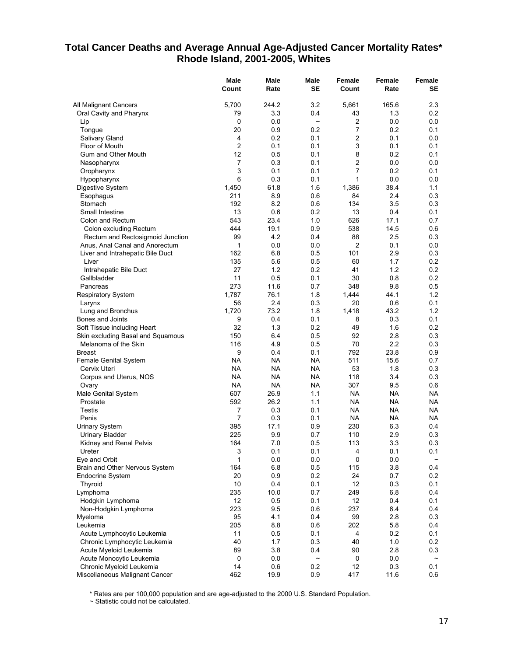## **Total Cancer Deaths and Average Annual Age-Adjusted Cancer Mortality Rates\* Rhode Island, 2001-2005, Whites**

|                                                 | Male<br>Count          | <b>Male</b><br>Rate | Male<br><b>SE</b>     | <b>Female</b><br>Count | Female<br>Rate   | Female<br>SE |
|-------------------------------------------------|------------------------|---------------------|-----------------------|------------------------|------------------|--------------|
| All Malignant Cancers                           | 5,700                  | 244.2               | 3.2                   | 5,661                  | 165.6            | 2.3          |
| Oral Cavity and Pharynx                         | 79                     | 3.3                 | 0.4                   | 43                     | 1.3              | 0.2          |
| Lip                                             | 0                      | 0.0                 | $\tilde{}$            | 2                      | 0.0              | 0.0          |
| Tongue                                          | 20                     | 0.9                 | 0.2                   | 7                      | 0.2              | 0.1          |
| Salivary Gland                                  | 4                      | 0.2                 | 0.1                   | 2                      | 0.1              | 0.0          |
| Floor of Mouth                                  | $\overline{2}$         | 0.1                 | 0.1                   | 3                      | 0.1              | 0.1          |
| Gum and Other Mouth                             | 12                     | 0.5                 | 0.1                   | 8                      | 0.2              | 0.1          |
| Nasopharynx                                     | $\overline{7}$         | 0.3                 | 0.1                   | 2                      | 0.0              | 0.0          |
| Oropharynx                                      | 3                      | 0.1                 | 0.1                   | 7                      | 0.2              | 0.1          |
| Hypopharynx                                     | 6                      | 0.3                 | 0.1                   | 1                      | 0.0              | 0.0          |
| Digestive System                                | 1,450                  | 61.8                | 1.6                   | 1,386                  | 38.4             | 1.1          |
| Esophagus                                       | 211                    | 8.9                 | 0.6                   | 84                     | 2.4              | 0.3          |
| Stomach                                         | 192                    | 8.2                 | 0.6                   | 134                    | 3.5              | 0.3          |
| Small Intestine                                 | 13                     | 0.6                 | 0.2                   | 13                     | 0.4              | 0.1          |
| Colon and Rectum                                | 543                    | 23.4                | 1.0                   | 626                    | 17.1             | 0.7          |
| Colon excluding Rectum                          | 444                    | 19.1                | 0.9                   | 538                    | 14.5             | 0.6          |
| Rectum and Rectosigmoid Junction                | 99                     | 4.2                 | 0.4                   | 88                     | 2.5              | 0.3          |
| Anus, Anal Canal and Anorectum                  | 1                      | 0.0                 | 0.0                   | 2                      | 0.1              | $0.0\,$      |
| Liver and Intrahepatic Bile Duct                | 162                    | 6.8                 | 0.5                   | 101                    | 2.9              | 0.3          |
| Liver                                           | 135                    | 5.6                 | 0.5                   | 60                     | 1.7              | 0.2          |
| Intrahepatic Bile Duct                          | 27                     | 1.2                 | 0.2                   | 41                     | 1.2              | 0.2          |
| Gallbladder                                     | 11                     | 0.5                 | 0.1                   | 30                     | 0.8              | 0.2          |
| Pancreas                                        | 273                    | 11.6                | 0.7                   | 348                    | 9.8              | 0.5          |
| <b>Respiratory System</b>                       | 1,787                  | 76.1                | 1.8                   | 1.444                  | 44.1             | 1.2          |
| Larynx                                          | 56                     | 2.4                 | 0.3                   | 20                     | 0.6              | 0.1          |
| Lung and Bronchus                               | 1,720                  | 73.2                | 1.8                   | 1,418                  | 43.2             | 1.2          |
| Bones and Joints                                | 9                      | 0.4                 | 0.1                   | 8                      | 0.3              | 0.1          |
| Soft Tissue including Heart                     | 32                     | 1.3                 | 0.2                   | 49                     | 1.6              | 0.2          |
| Skin excluding Basal and Squamous               | 150                    | 6.4                 | 0.5                   | 92                     | 2.8              | 0.3          |
| Melanoma of the Skin                            | 116                    | 4.9                 | 0.5                   | 70                     | 2.2              | 0.3          |
| <b>Breast</b>                                   | 9                      | 0.4                 | 0.1                   | 792                    | 23.8             | 0.9          |
| Female Genital System                           | <b>NA</b>              | <b>NA</b>           | <b>NA</b>             | 511                    | 15.6             | 0.7          |
| Cervix Uteri                                    | NA                     | <b>NA</b>           | NA                    | 53                     | 1.8              | 0.3          |
| Corpus and Uterus, NOS                          | <b>NA</b><br><b>NA</b> | <b>NA</b>           | <b>NA</b>             | 118                    | 3.4              | 0.3          |
| Ovary                                           | 607                    | <b>NA</b>           | NA.                   | 307<br><b>NA</b>       | 9.5<br><b>NA</b> | 0.6          |
| Male Genital System                             | 592                    | 26.9<br>26.2        | 1.1<br>1.1            | <b>NA</b>              | <b>NA</b>        | NA<br>NA.    |
| Prostate                                        | 7                      |                     | 0.1                   | <b>NA</b>              | <b>NA</b>        | NA.          |
| <b>Testis</b><br>Penis                          | $\overline{7}$         | 0.3<br>0.3          | 0.1                   | <b>NA</b>              | <b>NA</b>        | NA           |
|                                                 | 395                    | 17.1                | 0.9                   | 230                    | 6.3              | 0.4          |
| <b>Urinary System</b><br><b>Urinary Bladder</b> | 225                    | 9.9                 | 0.7                   | 110                    | 2.9              | 0.3          |
| Kidney and Renal Pelvis                         | 164                    | 7.0                 | 0.5                   | 113                    | 3.3              | 0.3          |
| Ureter                                          | 3                      | 0.1                 | 0.1                   | 4                      | 0.1              | 0.1          |
| Eye and Orbit                                   | 1                      | 0.0                 | 0.0                   | 0                      | 0.0              |              |
| Brain and Other Nervous System                  | 164                    | 6.8                 | 0.5                   | 115                    | 3.8              | 0.4          |
| Endocrine System                                | 20                     | 0.9                 | 0.2                   | 24                     | 0.7              | 0.2          |
| Thyroid                                         | 10                     | 0.4                 | 0.1                   | 12                     | 0.3              | 0.1          |
| Lymphoma                                        | 235                    | 10.0                | 0.7                   | 249                    | 6.8              | 0.4          |
| Hodgkin Lymphoma                                | 12                     | 0.5                 | 0.1                   | 12                     | 0.4              | 0.1          |
| Non-Hodgkin Lymphoma                            | 223                    | 9.5                 | 0.6                   | 237                    | 6.4              | 0.4          |
| Myeloma                                         | 95                     | 4.1                 | 0.4                   | 99                     | 2.8              | 0.3          |
| Leukemia                                        | 205                    | 8.8                 | 0.6                   | 202                    | 5.8              | 0.4          |
| Acute Lymphocytic Leukemia                      | 11                     | 0.5                 | 0.1                   | 4                      | 0.2              | 0.1          |
| Chronic Lymphocytic Leukemia                    | 40                     | 1.7                 | 0.3                   | 40                     | 1.0              | 0.2          |
| Acute Myeloid Leukemia                          | 89                     | 3.8                 | 0.4                   | 90                     | 2.8              | 0.3          |
| Acute Monocytic Leukemia                        | 0                      | 0.0                 | $\tilde{\phantom{a}}$ | 0                      | 0.0              |              |
| Chronic Myeloid Leukemia                        | 14                     | 0.6                 | 0.2                   | 12                     | 0.3              | 0.1          |
| Miscellaneous Malignant Cancer                  | 462                    | 19.9                | 0.9                   | 417                    | 11.6             | 0.6          |

\* Rates are per 100,000 population and are age-adjusted to the 2000 U.S. Standard Population.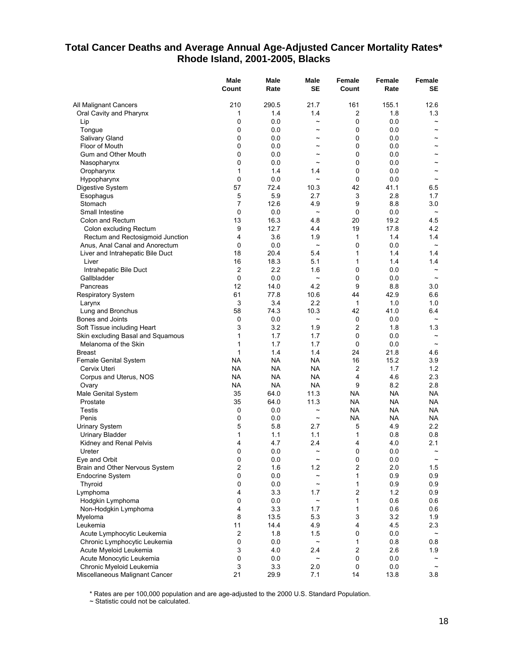## **Total Cancer Deaths and Average Annual Age-Adjusted Cancer Mortality Rates\* Rhode Island, 2001-2005, Blacks**

|                                                    | Male<br>Count       | <b>Male</b><br>Rate | Male<br><b>SE</b>     | Female<br>Count | Female<br>Rate | Female<br>SE          |
|----------------------------------------------------|---------------------|---------------------|-----------------------|-----------------|----------------|-----------------------|
| All Malignant Cancers                              | 210                 | 290.5               | 21.7                  | 161             | 155.1          | 12.6                  |
| Oral Cavity and Pharynx                            | 1                   | 1.4                 | 1.4                   | 2               | 1.8            | 1.3                   |
| Lip                                                | 0                   | 0.0                 | $\tilde{}$            | $\Omega$        | 0.0            |                       |
| Tongue                                             | 0                   | 0.0                 | $\tilde{\phantom{a}}$ | 0               | 0.0            | $\tilde{\phantom{a}}$ |
| Salivary Gland                                     | 0                   | 0.0                 | $\tilde{\phantom{a}}$ | 0               | 0.0            | $\overline{ }$        |
| Floor of Mouth                                     | 0                   | 0.0                 | $\tilde{\phantom{a}}$ | 0               | 0.0            |                       |
| Gum and Other Mouth                                | 0                   | 0.0                 | $\sim$                | $\mathbf 0$     | 0.0            | $\tilde{\phantom{a}}$ |
| Nasopharynx                                        | 0                   | 0.0                 | $\sim$                | 0               | 0.0            |                       |
| Oropharynx                                         | 1                   | 1.4                 | 1.4                   | $\Omega$        | 0.0            |                       |
| Hypopharynx                                        | 0                   | 0.0                 | $\tilde{}$            | $\mathbf 0$     | 0.0            | $\tilde{\phantom{a}}$ |
| Digestive System                                   | 57                  | 72.4                | 10.3                  | 42              | 41.1           | 6.5                   |
| Esophagus                                          | 5                   | 5.9                 | 2.7                   | 3               | 2.8            | 1.7                   |
| Stomach                                            | $\overline{7}$      | 12.6                | 4.9                   | 9               | 8.8            | 3.0                   |
| Small Intestine                                    | 0                   | 0.0                 | $\tilde{}$            | 0               | 0.0            | $\thicksim$           |
| Colon and Rectum                                   | 13                  | 16.3                | 4.8                   | 20              | 19.2           | 4.5                   |
| Colon excluding Rectum                             | 9                   | 12.7                | 4.4                   | 19              | 17.8           | 4.2                   |
| Rectum and Rectosigmoid Junction                   | 4                   | 3.6                 | 1.9<br>$\tilde{}$     | $\mathbf{1}$    | 1.4            | 1.4                   |
| Anus, Anal Canal and Anorectum                     | 0                   | 0.0                 |                       | 0               | 0.0            | $\tilde{}$            |
| Liver and Intrahepatic Bile Duct<br>Liver          | 18<br>16            | 20.4<br>18.3        | 5.4<br>5.1            | 1<br>1          | 1.4<br>1.4     | 1.4<br>1.4            |
| Intrahepatic Bile Duct                             | 2                   | 2.2                 | 1.6                   | 0               | 0.0            | $\tilde{\phantom{a}}$ |
| Gallbladder                                        | 0                   | 0.0                 | $\tilde{}$            | 0               | 0.0            |                       |
| Pancreas                                           | 12                  | 14.0                | 4.2                   | 9               | 8.8            | 3.0                   |
| <b>Respiratory System</b>                          | 61                  | 77.8                | 10.6                  | 44              | 42.9           | 6.6                   |
| Larynx                                             | 3                   | 3.4                 | 2.2                   | $\mathbf{1}$    | 1.0            | 1.0                   |
| Lung and Bronchus                                  | 58                  | 74.3                | 10.3                  | 42              | 41.0           | 6.4                   |
| Bones and Joints                                   | 0                   | 0.0                 | $\tilde{}$            | 0               | 0.0            |                       |
| Soft Tissue including Heart                        | 3                   | 3.2                 | 1.9                   | 2               | 1.8            | 1.3                   |
| Skin excluding Basal and Squamous                  | 1                   | 1.7                 | 1.7                   | 0               | 0.0            |                       |
| Melanoma of the Skin                               | $\mathbf{1}$        | 1.7                 | 1.7                   | 0               | 0.0            | $\tilde{\phantom{a}}$ |
| <b>Breast</b>                                      | 1                   | 1.4                 | 1.4                   | 24              | 21.8           | 4.6                   |
| Female Genital System                              | NA.                 | <b>NA</b>           | <b>NA</b>             | 16              | 15.2           | 3.9                   |
| Cervix Uteri                                       | NA.                 | <b>NA</b>           | <b>NA</b>             | 2               | 1.7            | 1.2                   |
| Corpus and Uterus, NOS                             | NA.                 | <b>NA</b>           | <b>NA</b>             | 4               | 4.6            | 2.3                   |
| Ovary                                              | NA.                 | <b>NA</b>           | <b>NA</b>             | 9               | 8.2            | 2.8                   |
| Male Genital System                                | 35                  | 64.0                | 11.3                  | <b>NA</b>       | NA             | NA.                   |
| Prostate                                           | 35                  | 64.0                | 11.3                  | <b>NA</b>       | NA.            | NA.                   |
| <b>Testis</b>                                      | 0                   | 0.0                 | $\tilde{}$            | <b>NA</b>       | NA.            | NA.                   |
| Penis                                              | 0                   | 0.0                 | $\tilde{\phantom{a}}$ | NA              | NA             | NA                    |
| <b>Urinary System</b>                              | 5                   | 5.8                 | 2.7                   | 5               | 4.9            | 2.2                   |
| <b>Urinary Bladder</b>                             | 1                   | 1.1                 | 1.1                   | 1               | 0.8            | 0.8                   |
| Kidney and Renal Pelvis                            | 4                   | 4.7                 | 2.4                   | 4               | 4.0            | 2.1                   |
| Ureter                                             | 0                   | 0.0                 | $\tilde{}$            | $\pmb{0}$<br>0  | 0.0            |                       |
| Eye and Orbit                                      | 0<br>$\overline{2}$ | 0.0<br>1.6          | 1.2                   | $\overline{c}$  | 0.0<br>2.0     | 1.5                   |
| Brain and Other Nervous System<br>Endocrine System | 0                   | 0.0                 | $\tilde{}$            | $\mathbf{1}$    | 0.9            | 0.9                   |
| Thyroid                                            | 0                   | 0.0                 | $\tilde{}$            | 1               | 0.9            | 0.9                   |
| Lymphoma                                           | 4                   | 3.3                 | 1.7                   | $\overline{c}$  | 1.2            | 0.9                   |
| Hodgkin Lymphoma                                   | 0                   | 0.0                 | $\tilde{}$            | $\mathbf{1}$    | 0.6            | 0.6                   |
| Non-Hodgkin Lymphoma                               | 4                   | 3.3                 | 1.7                   | 1               | 0.6            | 0.6                   |
| Myeloma                                            | 8                   | 13.5                | 5.3                   | 3               | 3.2            | 1.9                   |
| Leukemia                                           | 11                  | 14.4                | 4.9                   | 4               | 4.5            | 2.3                   |
| Acute Lymphocytic Leukemia                         | 2                   | 1.8                 | 1.5                   | 0               | 0.0            |                       |
| Chronic Lymphocytic Leukemia                       | 0                   | 0.0                 | $\tilde{}$            | $\mathbf{1}$    | 0.8            | 0.8                   |
| Acute Myeloid Leukemia                             | 3                   | 4.0                 | 2.4                   | $\overline{2}$  | 2.6            | 1.9                   |
| Acute Monocytic Leukemia                           | 0                   | 0.0                 | $\tilde{}$            | 0               | 0.0            |                       |
| Chronic Myeloid Leukemia                           | 3                   | 3.3                 | 2.0                   | 0               | 0.0            |                       |
| Miscellaneous Malignant Cancer                     | 21                  | 29.9                | 7.1                   | 14              | 13.8           | 3.8                   |

\* Rates are per 100,000 population and are age-adjusted to the 2000 U.S. Standard Population.